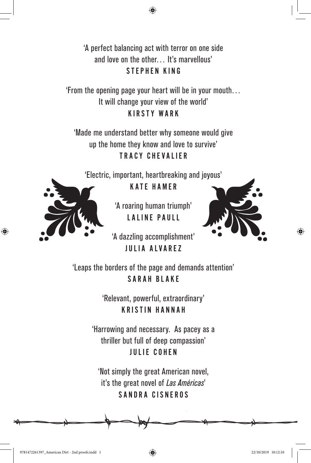'A perfect balancing act with terror on one side and love on the other… It's marvellous' STEPHEN KING

'From the opening page your heart will be in your mouth… It will change your view of the world' KIRSTY WARK

'Made me understand better why someone would give up the home they know and love to survive' TRACY CHEVALIER

'Electric, important, heartbreaking and joyous' KATE HAMER



'A roaring human triumph'

LALINE PAULL



'A dazzling accomplishment' JULIA ALVAREZ

'Leaps the borders of the page and demands attention' SARAH BLAKE

> 'Relevant, powerful, extraordinary' KRISTIN HANNAH

'Harrowing and necessary. As pacey as a thriller but full of deep compassion' JULIE COHEN

'Not simply the great American novel, it's the great novel of Las Américas' SANDRA CISNEROS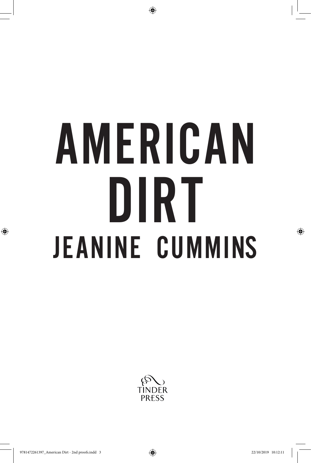# JEANINE CUMMINS AMERICAN DIRT

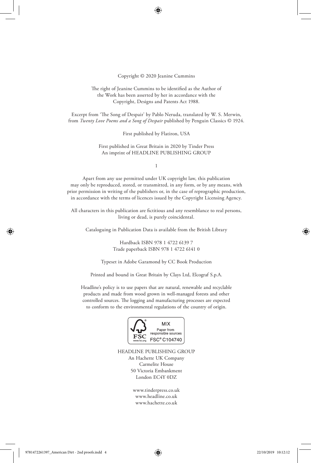Copyright © 2020 Jeanine Cummins

The right of Jeanine Cummins to be identified as the Author of the Work has been asserted by her in accordance with the Copyright, Designs and Patents Act 1988.

Excerpt from 'The Song of Despair' by Pablo Neruda, translated by W. S. Merwin, from *Twenty Love Poems and a Song of Despair* published by Penguin Classics © 1924. of Despair by Pablo Neruda, tran

> First published by Flatiron, USA First published by Flatiron, USA The right of Sam Allardyce to be identified as the Author of rirst published by riatiron, USA

### First published in Great Britain in 2020 by Tinder Press First published in 2016 An imprint of HEADLINE PUBLISHING GROUP Copyright, Designs and Patents Act 1988.  $\mathbf{I}$

1 1  $\mathbf{L}$ 

Apart from any use permitted under UK copyright law, this publication Apart from any use permitted under UK copyright law, this publication may only be reproduced, stored, or transmitted, in any form, or by any means, with prior permission in writing of the publishers or, in the case of reprographic production, in accordance with the terms of licences issued by the Copyright Licensing Agency. ny use permitted under UK copyright law, thi *the terms of neeries issued by the Copyrign* 

All characters in this publication are fictitious and any resemblance to real persons, living or dead, is purely coincidental. accordance with the terms of licences issued by the Copyright Licensing Agency. are fictitious and

Cataloguing in Publication Data is available from the British Library Cataloguing in Publication Data is available from the British Library in any form of binding or cover other than that in which it is published

> Hardback ISBN 978 1 4722 6139 7 Trade paperback ISBN 978 1 4722 6141 0 imposed on the subsequent purchaser.

Typeset in Adobe Garamond by CC Book Production Typeset in Bliss Light by CC Book Production .<br>Adobe Garamond by CC Book I

Printed and bound in Great Britain by Clays Ltd, Elcograf S.p.A.  $T$ 

Headline's policy is to use papers that are natural, renewable and recyclable Headline's policy is to use papers that are natural, renewable and products and made from wood grown in well-managed forests and other controlled sources. The logging and manufacturing processes are expected to conform to the environmental regulations of the country of origin. s policy is to use papers that are natural, renewable and and other regulations of the



HEADLINE PUBLISHING GROUP HEADLINE PUBLISHING GROUP Sphere HEADLINE PUBLISHING GROUP An Hachette UK Company An Hachette UK Company An imprint of Carmelite House 50 Victoria Embankment London London London EC4Y 0DZ An Hachette UK Company

> www.tinderpress.co.uk www.headline.co.uk www.headline.co.uk www.headline.co.uk www.hachette.co.uk www.hachette.co.uk www.neadine.co.uk<br>www.hachette.co.uk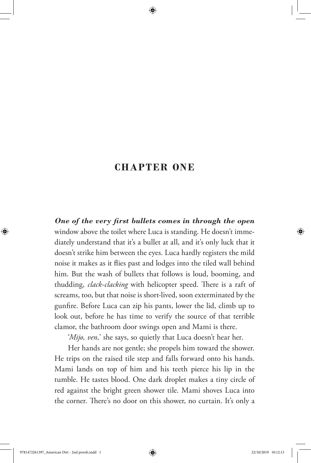# **CHAPTER ONE**

*One of the very first bullets comes in through the open*  window above the toilet where Luca is standing. He doesn't immediately understand that it's a bullet at all, and it's only luck that it doesn't strike him between the eyes. Luca hardly registers the mild noise it makes as it flies past and lodges into the tiled wall behind him. But the wash of bullets that follows is loud, booming, and thudding, *clack-clacking* with helicopter speed. There is a raft of screams, too, but that noise is short-lived, soon exterminated by the gunfire. Before Luca can zip his pants, lower the lid, climb up to look out, before he has time to verify the source of that terrible clamor, the bathroom door swings open and Mami is there.

'*Mijo, ven*,' she says, so quietly that Luca doesn't hear her.

Her hands are not gentle; she propels him toward the shower. He trips on the raised tile step and falls forward onto his hands. Mami lands on top of him and his teeth pierce his lip in the tumble. He tastes blood. One dark droplet makes a tiny circle of red against the bright green shower tile. Mami shoves Luca into the corner. There's no door on this shower, no curtain. It's only a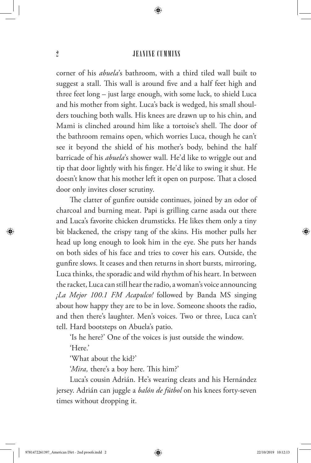### 2 JEANINE CUMMINS

corner of his *abuela*'s bathroom, with a third tiled wall built to suggest a stall. This wall is around five and a half feet high and three feet long – just large enough, with some luck, to shield Luca and his mother from sight. Luca's back is wedged, his small shoulders touching both walls. His knees are drawn up to his chin, and Mami is clinched around him like a tortoise's shell. The door of the bathroom remains open, which worries Luca, though he can't see it beyond the shield of his mother's body, behind the half barricade of his *abuela*'s shower wall. He'd like to wriggle out and tip that door lightly with his finger. He'd like to swing it shut. He doesn't know that his mother left it open on purpose. That a closed door only invites closer scrutiny.

The clatter of gunfire outside continues, joined by an odor of charcoal and burning meat. Papi is grilling carne asada out there and Luca's favorite chicken drumsticks. He likes them only a tiny bit blackened, the crispy tang of the skins. His mother pulls her head up long enough to look him in the eye. She puts her hands on both sides of his face and tries to cover his ears. Outside, the gunfire slows. It ceases and then returns in short bursts, mirroring, Luca thinks, the sporadic and wild rhythm of his heart. In between the racket, Luca can still hear the radio, a woman's voice announcing *¡La Mejor 100.1 FM Acapulco!* followed by Banda MS singing about how happy they are to be in love. Someone shoots the radio, and then there's laughter. Men's voices. Two or three, Luca can't tell. Hard bootsteps on Abuela's patio.

'Is he here?' One of the voices is just outside the window.

'Here.'

'What about the kid?'

'*Mira,* there's a boy here. This him?'

Luca's cousin Adrián. He's wearing cleats and his Hernández jersey. Adrián can juggle a *balón de fútbol* on his knees forty-seven times without dropping it.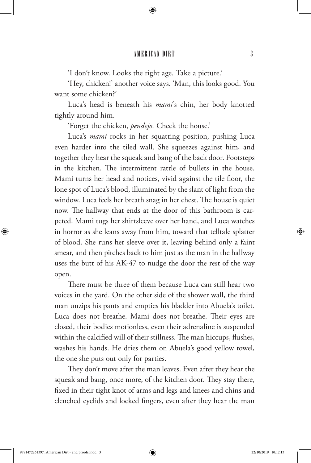## AMERICAN DIRT 3

'I don't know. Looks the right age. Take a picture.'

'Hey, chicken!' another voice says. 'Man, this looks good. You want some chicken?'

Luca's head is beneath his *mami*'s chin, her body knotted tightly around him.

'Forget the chicken, *pendejo.* Check the house.'

Luca's *mami* rocks in her squatting position, pushing Luca even harder into the tiled wall. She squeezes against him, and together they hear the squeak and bang of the back door. Footsteps in the kitchen. The intermittent rattle of bullets in the house. Mami turns her head and notices, vivid against the tile floor, the lone spot of Luca's blood, illuminated by the slant of light from the window. Luca feels her breath snag in her chest. The house is quiet now. The hallway that ends at the door of this bathroom is carpeted. Mami tugs her shirtsleeve over her hand, and Luca watches in horror as she leans away from him, toward that telltale splatter of blood. She runs her sleeve over it, leaving behind only a faint smear, and then pitches back to him just as the man in the hallway uses the butt of his AK-47 to nudge the door the rest of the way open.

There must be three of them because Luca can still hear two voices in the yard. On the other side of the shower wall, the third man unzips his pants and empties his bladder into Abuela's toilet. Luca does not breathe. Mami does not breathe. Their eyes are closed, their bodies motionless, even their adrenaline is suspended within the calcified will of their stillness. The man hiccups, flushes, washes his hands. He dries them on Abuela's good yellow towel, the one she puts out only for parties.

They don't move after the man leaves. Even after they hear the squeak and bang, once more, of the kitchen door. They stay there, fixed in their tight knot of arms and legs and knees and chins and clenched eyelids and locked fingers, even after they hear the man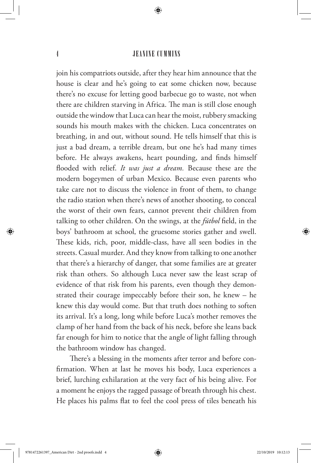### 4 JEANINE CUMMINS

join his compatriots outside, after they hear him announce that the house is clear and he's going to eat some chicken now, because there's no excuse for letting good barbecue go to waste, not when there are children starving in Africa. The man is still close enough outside the window that Luca can hear the moist, rubbery smacking sounds his mouth makes with the chicken. Luca concentrates on breathing, in and out, without sound. He tells himself that this is just a bad dream, a terrible dream, but one he's had many times before. He always awakens, heart pounding, and finds himself flooded with relief. *It was just a dream.* Because these are the modern bogeymen of urban Mexico. Because even parents who take care not to discuss the violence in front of them, to change the radio station when there's news of another shooting, to conceal the worst of their own fears, cannot prevent their children from talking to other children. On the swings, at the *fútbol* field, in the boys' bathroom at school, the gruesome stories gather and swell. These kids, rich, poor, middle-class, have all seen bodies in the streets. Casual murder. And they know from talking to one another that there's a hierarchy of danger, that some families are at greater risk than others. So although Luca never saw the least scrap of evidence of that risk from his parents, even though they demonstrated their courage impeccably before their son, he knew – he knew this day would come. But that truth does nothing to soften its arrival. It's a long, long while before Luca's mother removes the clamp of her hand from the back of his neck, before she leans back far enough for him to notice that the angle of light falling through the bathroom window has changed.

There's a blessing in the moments after terror and before confirmation. When at last he moves his body, Luca experiences a brief, lurching exhilaration at the very fact of his being alive. For a moment he enjoys the ragged passage of breath through his chest. He places his palms flat to feel the cool press of tiles beneath his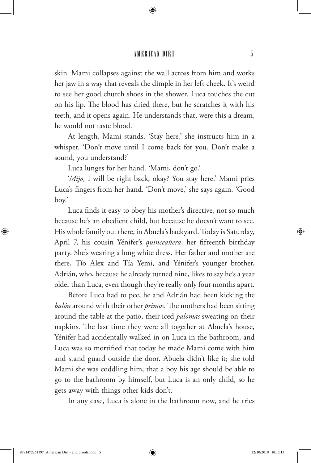## AMERICAN DIRT 5

skin. Mami collapses against the wall across from him and works her jaw in a way that reveals the dimple in her left cheek. It's weird to see her good church shoes in the shower. Luca touches the cut on his lip. The blood has dried there, but he scratches it with his teeth, and it opens again. He understands that, were this a dream, he would not taste blood.

At length, Mami stands. 'Stay here,' she instructs him in a whisper. 'Don't move until I come back for you. Don't make a sound, you understand?'

Luca lunges for her hand. 'Mami, don't go.'

'*Mijo,* I will be right back, okay? You stay here.' Mami pries Luca's fingers from her hand. 'Don't move,' she says again. 'Good boy.'

Luca finds it easy to obey his mother's directive, not so much because he's an obedient child, but because he doesn't want to see. His whole family out there, in Abuela's backyard. Today is Saturday, April 7, his cousin Yénifer's *quinceañera,* her fifteenth birthday party. She's wearing a long white dress. Her father and mother are there, Tío Alex and Tía Yemi, and Yénifer's younger brother, Adrián, who, because he already turned nine, likes to say he's a year older than Luca, even though they're really only four months apart.

Before Luca had to pee, he and Adrián had been kicking the *balón* around with their other *primos*. The mothers had been sitting around the table at the patio, their iced *palomas* sweating on their napkins. The last time they were all together at Abuela's house, Yénifer had accidentally walked in on Luca in the bathroom, and Luca was so mortified that today he made Mami come with him and stand guard outside the door. Abuela didn't like it; she told Mami she was coddling him, that a boy his age should be able to go to the bathroom by himself, but Luca is an only child, so he gets away with things other kids don't.

In any case, Luca is alone in the bathroom now, and he tries